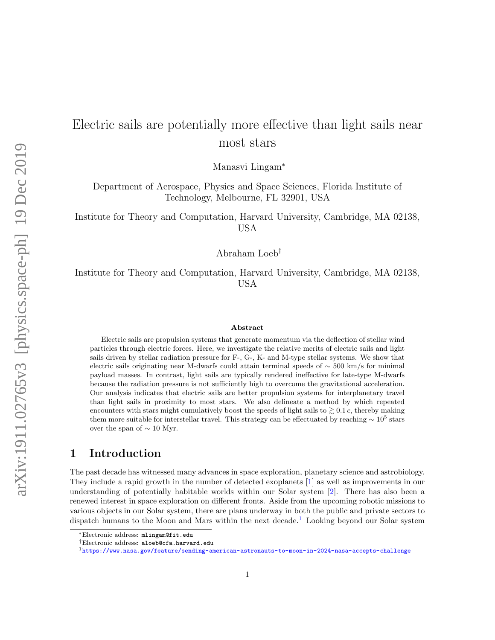# Electric sails are potentially more effective than light sails near most stars

Manasvi Lingam<sup>∗</sup>

Department of Aerospace, Physics and Space Sciences, Florida Institute of Technology, Melbourne, FL 32901, USA

Institute for Theory and Computation, Harvard University, Cambridge, MA 02138, USA

Abraham Loeb†

Institute for Theory and Computation, Harvard University, Cambridge, MA 02138, USA

#### Abstract

Electric sails are propulsion systems that generate momentum via the deflection of stellar wind particles through electric forces. Here, we investigate the relative merits of electric sails and light sails driven by stellar radiation pressure for F-, G-, K- and M-type stellar systems. We show that electric sails originating near M-dwarfs could attain terminal speeds of  $\sim$  500 km/s for minimal payload masses. In contrast, light sails are typically rendered ineffective for late-type M-dwarfs because the radiation pressure is not sufficiently high to overcome the gravitational acceleration. Our analysis indicates that electric sails are better propulsion systems for interplanetary travel than light sails in proximity to most stars. We also delineate a method by which repeated encounters with stars might cumulatively boost the speeds of light sails to  $\geq 0.1$  c, thereby making them more suitable for interstellar travel. This strategy can be effectuated by reaching  $\sim 10^5$  stars over the span of  $\sim 10$  Myr.

# 1 Introduction

The past decade has witnessed many advances in space exploration, planetary science and astrobiology. They include a rapid growth in the number of detected exoplanets [\[1\]](#page-14-0) as well as improvements in our understanding of potentially habitable worlds within our Solar system [\[2\]](#page-14-1). There has also been a renewed interest in space exploration on different fronts. Aside from the upcoming robotic missions to various objects in our Solar system, there are plans underway in both the public and private sectors to dispatch humans to the Moon and Mars within the next decade.<sup>[1](#page-0-0)</sup> Looking beyond our Solar system

<sup>∗</sup>Electronic address: mlingam@fit.edu

<sup>†</sup>Electronic address: aloeb@cfa.harvard.edu

<span id="page-0-0"></span><sup>1</sup><https://www.nasa.gov/feature/sending-american-astronauts-to-moon-in-2024-nasa-accepts-challenge>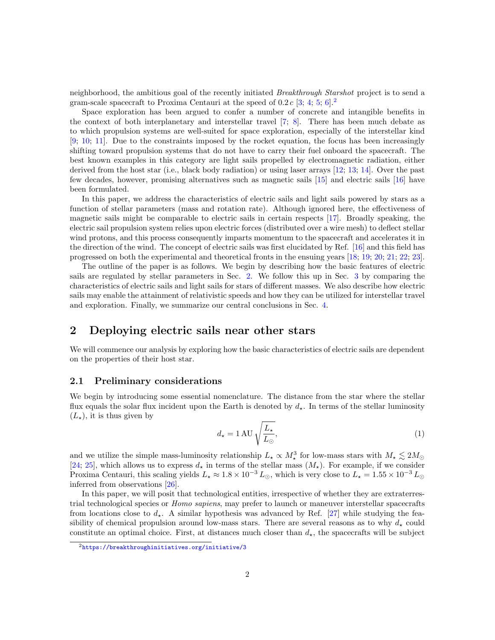neighborhood, the ambitious goal of the recently initiated Breakthrough Starshot project is to send a gram-scale spacecraft to Proxima Centauri at the speed of  $0.2 c$  $0.2 c$  $0.2 c$  [\[3;](#page-14-2) [4;](#page-14-3) [5;](#page-14-4) [6\]](#page-14-5).<sup>2</sup>

Space exploration has been argued to confer a number of concrete and intangible benefits in the context of both interplanetary and interstellar travel [\[7;](#page-14-6) [8\]](#page-14-7). There has been much debate as to which propulsion systems are well-suited for space exploration, especially of the interstellar kind [\[9;](#page-14-8) [10;](#page-14-9) [11\]](#page-15-0). Due to the constraints imposed by the rocket equation, the focus has been increasingly shifting toward propulsion systems that do not have to carry their fuel onboard the spacecraft. The best known examples in this category are light sails propelled by electromagnetic radiation, either derived from the host star (i.e., black body radiation) or using laser arrays [\[12;](#page-15-1) [13;](#page-15-2) [14\]](#page-15-3). Over the past few decades, however, promising alternatives such as magnetic sails [\[15\]](#page-15-4) and electric sails [\[16\]](#page-15-5) have been formulated.

In this paper, we address the characteristics of electric sails and light sails powered by stars as a function of stellar parameters (mass and rotation rate). Although ignored here, the effectiveness of magnetic sails might be comparable to electric sails in certain respects [\[17\]](#page-15-6). Broadly speaking, the electric sail propulsion system relies upon electric forces (distributed over a wire mesh) to deflect stellar wind protons, and this process consequently imparts momentum to the spacecraft and accelerates it in the direction of the wind. The concept of electric sails was first elucidated by Ref. [\[16\]](#page-15-5) and this field has progressed on both the experimental and theoretical fronts in the ensuing years [\[18;](#page-15-7) [19;](#page-15-8) [20;](#page-15-9) [21;](#page-15-10) [22;](#page-15-11) [23\]](#page-15-12).

The outline of the paper is as follows. We begin by describing how the basic features of electric sails are regulated by stellar parameters in Sec. [2.](#page-1-1) We follow this up in Sec. [3](#page-8-0) by comparing the characteristics of electric sails and light sails for stars of different masses. We also describe how electric sails may enable the attainment of relativistic speeds and how they can be utilized for interstellar travel and exploration. Finally, we summarize our central conclusions in Sec. [4.](#page-13-0)

# <span id="page-1-1"></span>2 Deploying electric sails near other stars

We will commence our analysis by exploring how the basic characteristics of electric sails are dependent on the properties of their host star.

### 2.1 Preliminary considerations

We begin by introducing some essential nomenclature. The distance from the star where the stellar flux equals the solar flux incident upon the Earth is denoted by  $d_{\star}$ . In terms of the stellar luminosity  $(L_{\star})$ , it is thus given by

<span id="page-1-2"></span>
$$
d_{\star} = 1 \,\mathrm{AU} \sqrt{\frac{L_{\star}}{L_{\odot}}},\tag{1}
$$

and we utilize the simple mass-luminosity relationship  $L_{\star} \propto M_{\star}^3$  for low-mass stars with  $M_{\star} \lesssim 2M_{\odot}$ [\[24;](#page-15-13) [25\]](#page-15-14), which allows us to express  $d_{\star}$  in terms of the stellar mass  $(M_{\star})$ . For example, if we consider Proxima Centauri, this scaling yields  $L_{\star} \approx 1.8 \times 10^{-3} L_{\odot}$ , which is very close to  $L_{\star} = 1.55 \times 10^{-3} L_{\odot}$ inferred from observations [\[26\]](#page-16-0).

In this paper, we will posit that technological entities, irrespective of whether they are extraterrestrial technological species or Homo sapiens, may prefer to launch or maneuver interstellar spacecrafts from locations close to  $d_{\star}$ . A similar hypothesis was advanced by Ref. [\[27\]](#page-16-1) while studying the feasibility of chemical propulsion around low-mass stars. There are several reasons as to why  $d_{\star}$  could constitute an optimal choice. First, at distances much closer than  $d<sub>x</sub>$ , the spacecrafts will be subject

<span id="page-1-0"></span> $2$ <https://breakthroughinitiatives.org/initiative/3>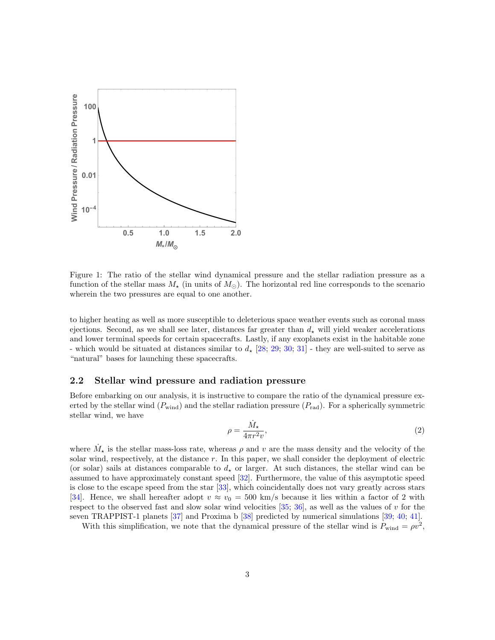

<span id="page-2-0"></span>Figure 1: The ratio of the stellar wind dynamical pressure and the stellar radiation pressure as a function of the stellar mass  $M_{\star}$  (in units of  $M_{\odot}$ ). The horizontal red line corresponds to the scenario wherein the two pressures are equal to one another.

to higher heating as well as more susceptible to deleterious space weather events such as coronal mass ejections. Second, as we shall see later, distances far greater than  $d_{\star}$  will yield weaker accelerations and lower terminal speeds for certain spacecrafts. Lastly, if any exoplanets exist in the habitable zone - which would be situated at distances similar to  $d_{\star}$  [\[28;](#page-16-2) [29;](#page-16-3) [30;](#page-16-4) [31\]](#page-16-5) - they are well-suited to serve as "natural" bases for launching these spacecrafts.

### 2.2 Stellar wind pressure and radiation pressure

Before embarking on our analysis, it is instructive to compare the ratio of the dynamical pressure exerted by the stellar wind  $(P_{wind})$  and the stellar radiation pressure  $(P_{rad})$ . For a spherically symmetric stellar wind, we have

<span id="page-2-1"></span>
$$
\rho = \frac{\dot{M}_{\star}}{4\pi r^2 v},\tag{2}
$$

where  $\dot{M}_{\star}$  is the stellar mass-loss rate, whereas  $\rho$  and v are the mass density and the velocity of the solar wind, respectively, at the distance r. In this paper, we shall consider the deployment of electric (or solar) sails at distances comparable to  $d<sub>+</sub>$  or larger. At such distances, the stellar wind can be assumed to have approximately constant speed [\[32\]](#page-16-6). Furthermore, the value of this asymptotic speed is close to the escape speed from the star [\[33\]](#page-16-7), which coincidentally does not vary greatly across stars [\[34\]](#page-16-8). Hence, we shall hereafter adopt  $v \approx v_0 = 500$  km/s because it lies within a factor of 2 with respect to the observed fast and slow solar wind velocities  $[35; 36]$  $[35; 36]$  $[35; 36]$ , as well as the values of v for the seven TRAPPIST-1 planets [\[37\]](#page-16-11) and Proxima b [\[38\]](#page-17-0) predicted by numerical simulations [\[39;](#page-17-1) [40;](#page-17-2) [41\]](#page-17-3).

With this simplification, we note that the dynamical pressure of the stellar wind is  $P_{wind} = \rho v^2$ ,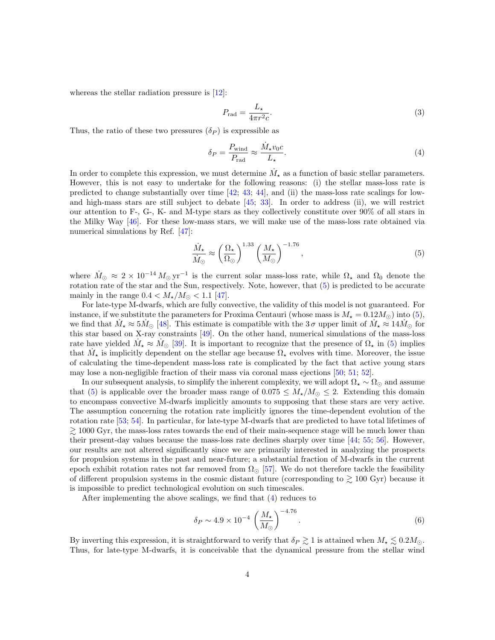whereas the stellar radiation pressure is [\[12\]](#page-15-1):

$$
P_{\rm rad} = \frac{L_{\star}}{4\pi r^2 c}.\tag{3}
$$

Thus, the ratio of these two pressures  $(\delta_P)$  is expressible as

<span id="page-3-1"></span>
$$
\delta_P = \frac{P_{\text{wind}}}{P_{\text{rad}}} \approx \frac{\dot{M}_\star v_0 c}{L_\star}.
$$
\n(4)

In order to complete this expression, we must determine  $\dot{M}_{\star}$  as a function of basic stellar parameters. However, this is not easy to undertake for the following reasons: (i) the stellar mass-loss rate is predicted to change substantially over time  $[42; 43; 44]$  $[42; 43; 44]$  $[42; 43; 44]$  $[42; 43; 44]$  $[42; 43; 44]$ , and (ii) the mass-loss rate scalings for lowand high-mass stars are still subject to debate [\[45;](#page-17-7) [33\]](#page-16-7). In order to address (ii), we will restrict our attention to F-, G-, K- and M-type stars as they collectively constitute over 90% of all stars in the Milky Way [\[46\]](#page-17-8). For these low-mass stars, we will make use of the mass-loss rate obtained via numerical simulations by Ref. [\[47\]](#page-17-9):

<span id="page-3-0"></span>
$$
\frac{\dot{M}_{\star}}{\dot{M}_{\odot}} \approx \left(\frac{\Omega_{\star}}{\Omega_{\odot}}\right)^{1.33} \left(\frac{M_{\star}}{M_{\odot}}\right)^{-1.76},\tag{5}
$$

where  $\dot{M}_{\odot} \approx 2 \times 10^{-14} M_{\odot} \text{ yr}^{-1}$  is the current solar mass-loss rate, while  $\Omega_{\star}$  and  $\Omega_{0}$  denote the rotation rate of the star and the Sun, respectively. Note, however, that  $(5)$  is predicted to be accurate mainly in the range  $0.4 < M_{\star}/M_{\odot} < 1.1$  [\[47\]](#page-17-9).

For late-type M-dwarfs, which are fully convective, the validity of this model is not guaranteed. For instance, if we substitute the parameters for Proxima Centauri (whose mass is  $M_{\star} = 0.12 M_{\odot}$ ) into [\(5\)](#page-3-0), we find that  $\dot{M}_{\star} \approx 5 \dot{M}_{\odot}$  [\[48\]](#page-17-10). This estimate is compatible with the 3  $\sigma$  upper limit of  $\dot{M}_{\star} \approx 14 \dot{M}_{\odot}$  for this star based on X-ray constraints [\[49\]](#page-17-11). On the other hand, numerical simulations of the mass-loss rate have yielded  $\dot{M}_{\star} \approx \dot{M}_{\odot}$  [\[39\]](#page-17-1). It is important to recognize that the presence of  $\Omega_{\star}$  in [\(5\)](#page-3-0) implies that  $\dot{M}_{\star}$  is implicitly dependent on the stellar age because  $\Omega_{\star}$  evolves with time. Moreover, the issue of calculating the time-dependent mass-loss rate is complicated by the fact that active young stars may lose a non-negligible fraction of their mass via coronal mass ejections [\[50;](#page-17-12) [51;](#page-17-13) [52\]](#page-18-0).

In our subsequent analysis, to simplify the inherent complexity, we will adopt  $\Omega_{\star} \sim \Omega_{\odot}$  and assume that [\(5\)](#page-3-0) is applicable over the broader mass range of  $0.075 \leq M_{\star}/M_{\odot} \leq 2$ . Extending this domain to encompass convective M-dwarfs implicitly amounts to supposing that these stars are very active. The assumption concerning the rotation rate implicitly ignores the time-dependent evolution of the rotation rate [\[53;](#page-18-1) [54\]](#page-18-2). In particular, for late-type M-dwarfs that are predicted to have total lifetimes of  $\gtrsim$  1000 Gyr, the mass-loss rates towards the end of their main-sequence stage will be much lower than their present-day values because the mass-loss rate declines sharply over time [\[44;](#page-17-6) [55;](#page-18-3) [56\]](#page-18-4). However, our results are not altered significantly since we are primarily interested in analyzing the prospects for propulsion systems in the past and near-future; a substantial fraction of M-dwarfs in the current epoch exhibit rotation rates not far removed from  $\Omega_{\odot}$  [\[57\]](#page-18-5). We do not therefore tackle the feasibility of different propulsion systems in the cosmic distant future (corresponding to  $\gtrsim 100$  Gyr) because it is impossible to predict technological evolution on such timescales.

After implementing the above scalings, we find that [\(4\)](#page-3-1) reduces to

<span id="page-3-2"></span>
$$
\delta_P \sim 4.9 \times 10^{-4} \left(\frac{M_{\star}}{M_{\odot}}\right)^{-4.76}.\tag{6}
$$

By inverting this expression, it is straightforward to verify that  $\delta_P \gtrsim 1$  is attained when  $M_{\star} \lesssim 0.2 M_{\odot}$ . Thus, for late-type M-dwarfs, it is conceivable that the dynamical pressure from the stellar wind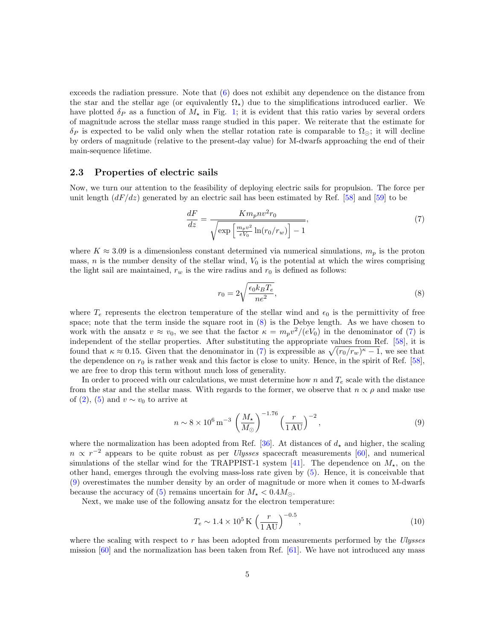exceeds the radiation pressure. Note that [\(6\)](#page-3-2) does not exhibit any dependence on the distance from the star and the stellar age (or equivalently  $\Omega_{\star}$ ) due to the simplifications introduced earlier. We have plotted  $\delta_P$  as a function of  $M_{\star}$  in Fig. [1;](#page-2-0) it is evident that this ratio varies by several orders of magnitude across the stellar mass range studied in this paper. We reiterate that the estimate for  $\delta_P$  is expected to be valid only when the stellar rotation rate is comparable to  $\Omega_{\odot}$ ; it will decline by orders of magnitude (relative to the present-day value) for M-dwarfs approaching the end of their main-sequence lifetime.

#### <span id="page-4-4"></span>2.3 Properties of electric sails

Now, we turn our attention to the feasibility of deploying electric sails for propulsion. The force per unit length  $(dF/dz)$  generated by an electric sail has been estimated by Ref. [\[58\]](#page-18-6) and [\[59\]](#page-18-7) to be

<span id="page-4-1"></span>
$$
\frac{dF}{dz} = \frac{Km_p n v^2 r_0}{\sqrt{\exp\left[\frac{m_p v^2}{eV_0} \ln(r_0/r_w)\right] - 1}},\tag{7}
$$

where  $K \approx 3.09$  is a dimensionless constant determined via numerical simulations,  $m_p$  is the proton mass,  $n$  is the number density of the stellar wind,  $V_0$  is the potential at which the wires comprising the light sail are maintained,  $r_w$  is the wire radius and  $r_0$  is defined as follows:

<span id="page-4-0"></span>
$$
r_0 = 2\sqrt{\frac{\epsilon_0 k_B T_e}{ne^2}},\tag{8}
$$

where  $T_e$  represents the electron temperature of the stellar wind and  $\epsilon_0$  is the permittivity of free space; note that the term inside the square root in [\(8\)](#page-4-0) is the Debye length. As we have chosen to work with the ansatz  $v \approx v_0$ , we see that the factor  $\kappa = m_p v^2/(eV_0)$  in the denominator of [\(7\)](#page-4-1) is independent of the stellar properties. After substituting the appropriate values from Ref. [\[58\]](#page-18-6), it is found that  $\kappa \approx 0.15$ . Given that the denominator in [\(7\)](#page-4-1) is expressible as  $\sqrt{(r_0/r_w)^{\kappa}-1}$ , we see that the dependence on  $r_0$  is rather weak and this factor is close to unity. Hence, in the spirit of Ref. [\[58\]](#page-18-6), we are free to drop this term without much loss of generality.

In order to proceed with our calculations, we must determine how n and  $T_e$  scale with the distance from the star and the stellar mass. With regards to the former, we observe that  $n \propto \rho$  and make use of [\(2\)](#page-2-1), [\(5\)](#page-3-0) and  $v \sim v_0$  to arrive at

<span id="page-4-2"></span>
$$
n \sim 8 \times 10^6 \,\mathrm{m}^{-3} \left(\frac{M_{\star}}{M_{\odot}}\right)^{-1.76} \left(\frac{r}{1 \,\mathrm{AU}}\right)^{-2},\tag{9}
$$

where the normalization has been adopted from Ref. [\[36\]](#page-16-10). At distances of  $d_{\star}$  and higher, the scaling  $n \propto r^{-2}$  appears to be quite robust as per *Ulysses* spacecraft measurements [\[60\]](#page-18-8), and numerical simulations of the stellar wind for the TRAPPIST-1 system [\[41\]](#page-17-3). The dependence on  $M_{\star}$ , on the other hand, emerges through the evolving mass-loss rate given by [\(5\)](#page-3-0). Hence, it is conceivable that [\(9\)](#page-4-2) overestimates the number density by an order of magnitude or more when it comes to M-dwarfs because the accuracy of [\(5\)](#page-3-0) remains uncertain for  $M_{\star} < 0.4 M_{\odot}$ .

Next, we make use of the following ansatz for the electron temperature:

<span id="page-4-3"></span>
$$
T_e \sim 1.4 \times 10^5 \,\mathrm{K} \left(\frac{r}{1 \,\mathrm{AU}}\right)^{-0.5},\tag{10}
$$

where the scaling with respect to  $r$  has been adopted from measurements performed by the Ulysses mission  $[60]$  and the normalization has been taken from Ref.  $[61]$ . We have not introduced any mass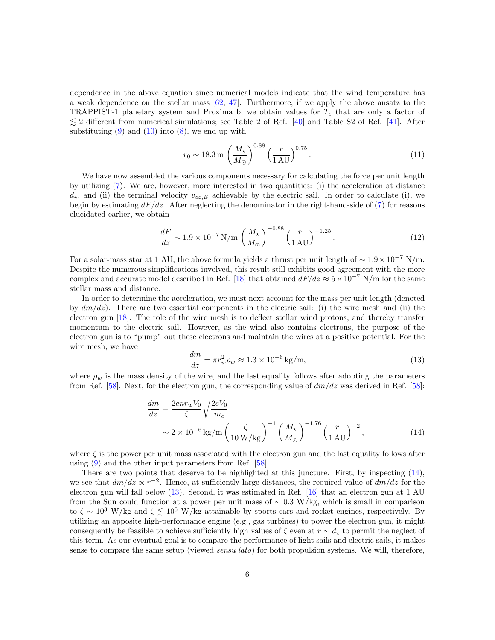dependence in the above equation since numerical models indicate that the wind temperature has a weak dependence on the stellar mass [\[62;](#page-18-10) [47\]](#page-17-9). Furthermore, if we apply the above ansatz to the TRAPPIST-1 planetary system and Proxima b, we obtain values for  $T_e$  that are only a factor of  $\lesssim$  2 different from numerical simulations; see Table 2 of Ref. [\[40\]](#page-17-2) and Table S2 of Ref. [\[41\]](#page-17-3). After substituting  $(9)$  and  $(10)$  into  $(8)$ , we end up with

$$
r_0 \sim 18.3 \,\mathrm{m} \left(\frac{M_{\star}}{M_{\odot}}\right)^{0.88} \left(\frac{r}{1 \,\mathrm{AU}}\right)^{0.75}.
$$
 (11)

We have now assembled the various components necessary for calculating the force per unit length by utilizing [\(7\)](#page-4-1). We are, however, more interested in two quantities: (i) the acceleration at distance  $d_{\star}$ , and (ii) the terminal velocity  $v_{\infty,E}$  achievable by the electric sail. In order to calculate (i), we begin by estimating  $dF/dz$ . After neglecting the denominator in the right-hand-side of [\(7\)](#page-4-1) for reasons elucidated earlier, we obtain

<span id="page-5-2"></span>
$$
\frac{dF}{dz} \sim 1.9 \times 10^{-7} \,\text{N/m} \left(\frac{M_{\star}}{M_{\odot}}\right)^{-0.88} \left(\frac{r}{1 \,\text{AU}}\right)^{-1.25}.\tag{12}
$$

For a solar-mass star at 1 AU, the above formula yields a thrust per unit length of  $\sim 1.9 \times 10^{-7}$  N/m. Despite the numerous simplifications involved, this result still exhibits good agreement with the more complex and accurate model described in Ref. [\[18\]](#page-15-7) that obtained  $dF/dz \approx 5 \times 10^{-7}$  N/m for the same stellar mass and distance.

In order to determine the acceleration, we must next account for the mass per unit length (denoted by  $dm/dz$ ). There are two essential components in the electric sail: (i) the wire mesh and (ii) the electron gun [\[18\]](#page-15-7). The role of the wire mesh is to deflect stellar wind protons, and thereby transfer momentum to the electric sail. However, as the wind also contains electrons, the purpose of the electron gun is to "pump" out these electrons and maintain the wires at a positive potential. For the wire mesh, we have

<span id="page-5-1"></span>
$$
\frac{dm}{dz} = \pi r_w^2 \rho_w \approx 1.3 \times 10^{-6} \,\text{kg/m},\tag{13}
$$

where  $\rho_w$  is the mass density of the wire, and the last equality follows after adopting the parameters from Ref. [\[58\]](#page-18-6). Next, for the electron gun, the corresponding value of  $dm/dz$  was derived in Ref. [58]:

<span id="page-5-0"></span>
$$
\frac{dm}{dz} = \frac{2en r_w V_0}{\zeta} \sqrt{\frac{2eV_0}{m_e}}
$$
  
 
$$
\sim 2 \times 10^{-6} \text{ kg/m} \left(\frac{\zeta}{10 \text{ W/kg}}\right)^{-1} \left(\frac{M_{\star}}{M_{\odot}}\right)^{-1.76} \left(\frac{r}{1 \text{ AU}}\right)^{-2}, \tag{14}
$$

where  $\zeta$  is the power per unit mass associated with the electron gun and the last equality follows after using  $(9)$  and the other input parameters from Ref. [\[58\]](#page-18-6).

There are two points that deserve to be highlighted at this juncture. First, by inspecting [\(14\)](#page-5-0), we see that  $dm/dz \propto r^{-2}$ . Hence, at sufficiently large distances, the required value of  $dm/dz$  for the electron gun will fall below [\(13\)](#page-5-1). Second, it was estimated in Ref. [\[16\]](#page-15-5) that an electron gun at 1 AU from the Sun could function at a power per unit mass of  $\sim 0.3$  W/kg, which is small in comparison to  $\zeta \sim 10^3$  W/kg and  $\zeta \lesssim 10^5$  W/kg attainable by sports cars and rocket engines, respectively. By utilizing an apposite high-performance engine (e.g., gas turbines) to power the electron gun, it might consequently be feasible to achieve sufficiently high values of  $\zeta$  even at  $r \sim d_{\star}$  to permit the neglect of this term. As our eventual goal is to compare the performance of light sails and electric sails, it makes sense to compare the same setup (viewed *sensu lato*) for both propulsion systems. We will, therefore,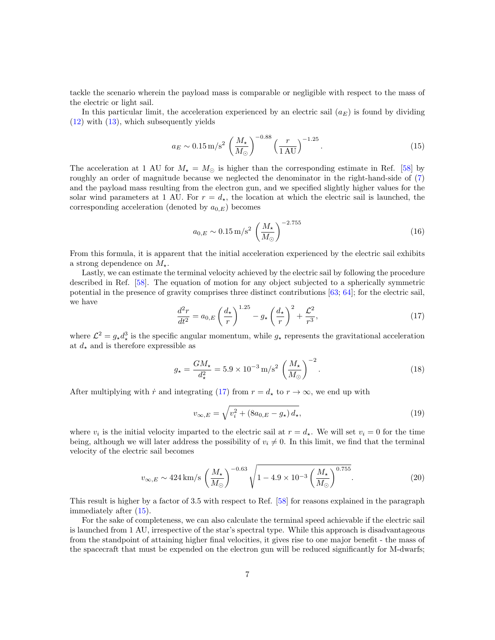tackle the scenario wherein the payload mass is comparable or negligible with respect to the mass of the electric or light sail.

In this particular limit, the acceleration experienced by an electric sail  $(a_E)$  is found by dividing [\(12\)](#page-5-2) with [\(13\)](#page-5-1), which subsequently yields

<span id="page-6-1"></span>
$$
a_E \sim 0.15 \,\mathrm{m/s^2} \left(\frac{M_\star}{M_\odot}\right)^{-0.88} \left(\frac{r}{1 \,\mathrm{AU}}\right)^{-1.25}.\tag{15}
$$

The acceleration at 1 AU for  $M_{\star} = M_{\odot}$  is higher than the corresponding estimate in Ref. [\[58\]](#page-18-6) by roughly an order of magnitude because we neglected the denominator in the right-hand-side of [\(7\)](#page-4-1) and the payload mass resulting from the electron gun, and we specified slightly higher values for the solar wind parameters at 1 AU. For  $r = d_{\star}$ , the location at which the electric sail is launched, the corresponding acceleration (denoted by  $a_{0,E}$ ) becomes

$$
a_{0,E} \sim 0.15 \,\mathrm{m/s^2} \left(\frac{M_{\star}}{M_{\odot}}\right)^{-2.755} \tag{16}
$$

From this formula, it is apparent that the initial acceleration experienced by the electric sail exhibits a strong dependence on  $M_{\star}$ .

Lastly, we can estimate the terminal velocity achieved by the electric sail by following the procedure described in Ref. [\[58\]](#page-18-6). The equation of motion for any object subjected to a spherically symmetric potential in the presence of gravity comprises three distinct contributions [\[63;](#page-18-11) [64\]](#page-18-12); for the electric sail, we have

<span id="page-6-0"></span>
$$
\frac{d^2r}{dt^2} = a_{0,E} \left(\frac{d_\star}{r}\right)^{1.25} - g_\star \left(\frac{d_\star}{r}\right)^2 + \frac{\mathcal{L}^2}{r^3},\tag{17}
$$

where  $\mathcal{L}^2 = g_{\star} d_{\star}^3$  is the specific angular momentum, while  $g_{\star}$  represents the gravitational acceleration at  $d_{\star}$  and is therefore expressible as

<span id="page-6-3"></span>
$$
g_{\star} = \frac{GM_{\star}}{d_{\star}^2} = 5.9 \times 10^{-3} \,\mathrm{m/s^2} \left(\frac{M_{\star}}{M_{\odot}}\right)^{-2}.\tag{18}
$$

After multiplying with  $\dot{r}$  and integrating [\(17\)](#page-6-0) from  $r = d_{\star}$  to  $r \to \infty$ , we end up with

$$
v_{\infty,E} = \sqrt{v_i^2 + (8a_{0,E} - g_\star) d_\star},\tag{19}
$$

where  $v_i$  is the initial velocity imparted to the electric sail at  $r = d_*$ . We will set  $v_i = 0$  for the time being, although we will later address the possibility of  $v_i \neq 0$ . In this limit, we find that the terminal velocity of the electric sail becomes

<span id="page-6-2"></span>
$$
v_{\infty,E} \sim 424 \,\mathrm{km/s} \,\left(\frac{M_{\star}}{M_{\odot}}\right)^{-0.63} \sqrt{1 - 4.9 \times 10^{-3} \left(\frac{M_{\star}}{M_{\odot}}\right)^{0.755}}.\tag{20}
$$

This result is higher by a factor of 3.5 with respect to Ref. [\[58\]](#page-18-6) for reasons explained in the paragraph immediately after [\(15\)](#page-6-1).

For the sake of completeness, we can also calculate the terminal speed achievable if the electric sail is launched from 1 AU, irrespective of the star's spectral type. While this approach is disadvantageous from the standpoint of attaining higher final velocities, it gives rise to one major benefit - the mass of the spacecraft that must be expended on the electron gun will be reduced significantly for M-dwarfs;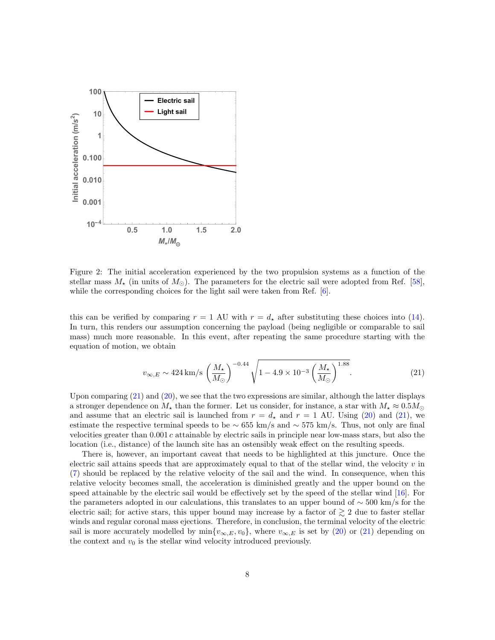

<span id="page-7-1"></span>Figure 2: The initial acceleration experienced by the two propulsion systems as a function of the stellar mass  $M_{\star}$  (in units of  $M_{\odot}$ ). The parameters for the electric sail were adopted from Ref. [\[58\]](#page-18-6), while the corresponding choices for the light sail were taken from Ref.  $[6]$ .

this can be verified by comparing  $r = 1$  AU with  $r = d_{\star}$  after substituting these choices into [\(14\)](#page-5-0). In turn, this renders our assumption concerning the payload (being negligible or comparable to sail mass) much more reasonable. In this event, after repeating the same procedure starting with the equation of motion, we obtain

<span id="page-7-0"></span>
$$
v_{\infty,E} \sim 424 \, \text{km/s} \, \left(\frac{M_{\star}}{M_{\odot}}\right)^{-0.44} \sqrt{1 - 4.9 \times 10^{-3} \left(\frac{M_{\star}}{M_{\odot}}\right)^{1.88}}.\tag{21}
$$

Upon comparing [\(21\)](#page-7-0) and [\(20\)](#page-6-2), we see that the two expressions are similar, although the latter displays a stronger dependence on  $M_{\star}$  than the former. Let us consider, for instance, a star with  $M_{\star} \approx 0.5 M_{\odot}$ and assume that an electric sail is launched from  $r = d_{\star}$  and  $r = 1$  AU. Using [\(20\)](#page-6-2) and [\(21\)](#page-7-0), we estimate the respective terminal speeds to be  $\sim$  655 km/s and  $\sim$  575 km/s. Thus, not only are final velocities greater than 0.001 c attainable by electric sails in principle near low-mass stars, but also the location (i.e., distance) of the launch site has an ostensibly weak effect on the resulting speeds.

There is, however, an important caveat that needs to be highlighted at this juncture. Once the electric sail attains speeds that are approximately equal to that of the stellar wind, the velocity  $v$  in [\(7\)](#page-4-1) should be replaced by the relative velocity of the sail and the wind. In consequence, when this relative velocity becomes small, the acceleration is diminished greatly and the upper bound on the speed attainable by the electric sail would be effectively set by the speed of the stellar wind [\[16\]](#page-15-5). For the parameters adopted in our calculations, this translates to an upper bound of ∼ 500 km/s for the electric sail; for active stars, this upper bound may increase by a factor of  $\gtrsim 2$  due to faster stellar winds and regular coronal mass ejections. Therefore, in conclusion, the terminal velocity of the electric sail is more accurately modelled by  $\min\{v_{\infty,E}, v_0\}$ , where  $v_{\infty,E}$  is set by [\(20\)](#page-6-2) or [\(21\)](#page-7-0) depending on the context and  $v_0$  is the stellar wind velocity introduced previously.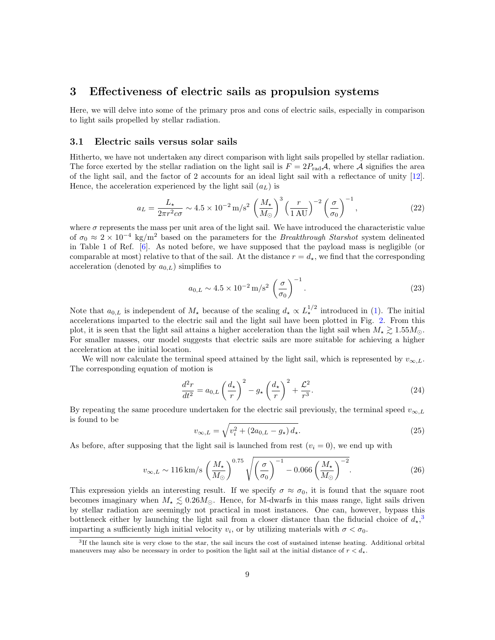### <span id="page-8-0"></span>3 Effectiveness of electric sails as propulsion systems

Here, we will delve into some of the primary pros and cons of electric sails, especially in comparison to light sails propelled by stellar radiation.

### <span id="page-8-3"></span>3.1 Electric sails versus solar sails

Hitherto, we have not undertaken any direct comparison with light sails propelled by stellar radiation. The force exerted by the stellar radiation on the light sail is  $F = 2P_{rad}A$ , where A signifies the area of the light sail, and the factor of 2 accounts for an ideal light sail with a reflectance of unity [\[12\]](#page-15-1). Hence, the acceleration experienced by the light sail  $(a<sub>L</sub>)$  is

$$
a_L = \frac{L_\star}{2\pi r^2 c\sigma} \sim 4.5 \times 10^{-2} \,\mathrm{m/s^2} \left(\frac{M_\star}{M_\odot}\right)^3 \left(\frac{r}{1 \,\mathrm{AU}}\right)^{-2} \left(\frac{\sigma}{\sigma_0}\right)^{-1},\tag{22}
$$

where  $\sigma$  represents the mass per unit area of the light sail. We have introduced the characteristic value of  $\sigma_0 \approx 2 \times 10^{-4}$  kg/m<sup>2</sup> based on the parameters for the *Breakthrough Starshot* system delineated in Table 1 of Ref. [\[6\]](#page-14-5). As noted before, we have supposed that the payload mass is negligible (or comparable at most) relative to that of the sail. At the distance  $r = d<sub>\star</sub>$ , we find that the corresponding acceleration (denoted by  $a_{0,L}$ ) simplifies to

<span id="page-8-5"></span>
$$
a_{0,L} \sim 4.5 \times 10^{-2} \,\mathrm{m/s^2} \left(\frac{\sigma}{\sigma_0}\right)^{-1}.\tag{23}
$$

Note that  $a_{0,L}$  is independent of  $M_{\star}$  because of the scaling  $d_{\star} \propto L_{\star}^{1/2}$  introduced in [\(1\)](#page-1-2). The initial accelerations imparted to the electric sail and the light sail have been plotted in Fig. [2.](#page-7-1) From this plot, it is seen that the light sail attains a higher acceleration than the light sail when  $M_{\star} \gtrsim 1.55 M_{\odot}$ . For smaller masses, our model suggests that electric sails are more suitable for achieving a higher acceleration at the initial location.

We will now calculate the terminal speed attained by the light sail, which is represented by  $v_{\infty,L}$ . The corresponding equation of motion is

$$
\frac{d^2r}{dt^2} = a_{0,L} \left(\frac{d_\star}{r}\right)^2 - g_\star \left(\frac{d_\star}{r}\right)^2 + \frac{\mathcal{L}^2}{r^3}.\tag{24}
$$

By repeating the same procedure undertaken for the electric sail previously, the terminal speed  $v_{\infty,L}$ is found to be

<span id="page-8-4"></span>
$$
v_{\infty,L} = \sqrt{v_i^2 + (2a_{0,L} - g_\star) d_\star}.
$$
 (25)

As before, after supposing that the light sail is launched from rest  $(v_i = 0)$ , we end up with

<span id="page-8-2"></span>
$$
v_{\infty,L} \sim 116 \,\mathrm{km/s} \,\left(\frac{M_{\star}}{M_{\odot}}\right)^{0.75} \sqrt{\left(\frac{\sigma}{\sigma_0}\right)^{-1} - 0.066 \left(\frac{M_{\star}}{M_{\odot}}\right)^{-2}}.\tag{26}
$$

This expression yields an interesting result. If we specify  $\sigma \approx \sigma_0$ , it is found that the square root becomes imaginary when  $M_{\star} \lesssim 0.26 M_{\odot}$ . Hence, for M-dwarfs in this mass range, light sails driven by stellar radiation are seemingly not practical in most instances. One can, however, bypass this bottleneck either by launching the light sail from a closer distance than the fiducial choice of  $d_{\star}$ ,<sup>[3](#page-8-1)</sup> imparting a sufficiently high initial velocity  $v_i$ , or by utilizing materials with  $\sigma < \sigma_0$ .

<span id="page-8-1"></span><sup>&</sup>lt;sup>3</sup>If the launch site is very close to the star, the sail incurs the cost of sustained intense heating. Additional orbital maneuvers may also be necessary in order to position the light sail at the initial distance of  $r < d_{\star}$ .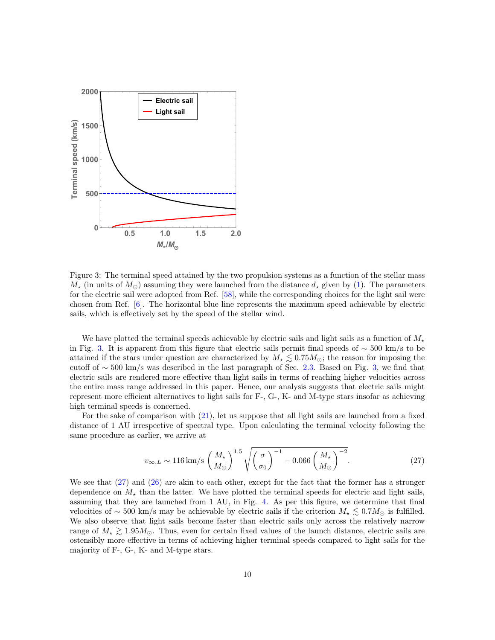

<span id="page-9-0"></span>Figure 3: The terminal speed attained by the two propulsion systems as a function of the stellar mass  $M_{\star}$  (in units of  $M_{\odot}$ ) assuming they were launched from the distance  $d_{\star}$  given by [\(1\)](#page-1-2). The parameters for the electric sail were adopted from Ref. [\[58\]](#page-18-6), while the corresponding choices for the light sail were chosen from Ref. [\[6\]](#page-14-5). The horizontal blue line represents the maximum speed achievable by electric sails, which is effectively set by the speed of the stellar wind.

We have plotted the terminal speeds achievable by electric sails and light sails as a function of  $M_*$ in Fig. [3.](#page-9-0) It is apparent from this figure that electric sails permit final speeds of ∼ 500 km/s to be attained if the stars under question are characterized by  $M_{\star} \lesssim 0.75 M_{\odot}$ ; the reason for imposing the cutoff of  $\sim$  500 km/s was described in the last paragraph of Sec. [2.3.](#page-4-4) Based on Fig. [3,](#page-9-0) we find that electric sails are rendered more effective than light sails in terms of reaching higher velocities across the entire mass range addressed in this paper. Hence, our analysis suggests that electric sails might represent more efficient alternatives to light sails for F-, G-, K- and M-type stars insofar as achieving high terminal speeds is concerned.

For the sake of comparison with [\(21\)](#page-7-0), let us suppose that all light sails are launched from a fixed distance of 1 AU irrespective of spectral type. Upon calculating the terminal velocity following the same procedure as earlier, we arrive at

<span id="page-9-1"></span>
$$
v_{\infty,L} \sim 116 \,\mathrm{km/s} \left(\frac{M_{\star}}{M_{\odot}}\right)^{1.5} \sqrt{\left(\frac{\sigma}{\sigma_0}\right)^{-1} - 0.066 \left(\frac{M_{\star}}{M_{\odot}}\right)^{-2}}.\tag{27}
$$

We see that  $(27)$  and  $(26)$  are akin to each other, except for the fact that the former has a stronger dependence on  $M_{\star}$  than the latter. We have plotted the terminal speeds for electric and light sails, assuming that they are launched from 1 AU, in Fig. [4.](#page-10-0) As per this figure, we determine that final velocities of ~ 500 km/s may be achievable by electric sails if the criterion  $M_{\star} \leq 0.7 M_{\odot}$  is fulfilled. We also observe that light sails become faster than electric sails only across the relatively narrow range of  $M_{\star} \gtrsim 1.95 M_{\odot}$ . Thus, even for certain fixed values of the launch distance, electric sails are ostensibly more effective in terms of achieving higher terminal speeds compared to light sails for the majority of F-, G-, K- and M-type stars.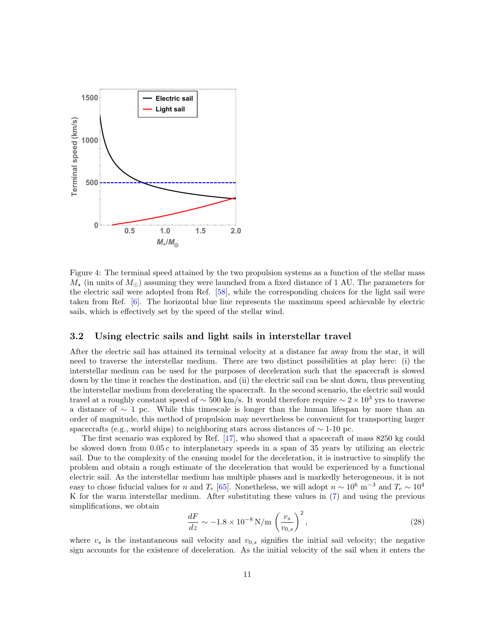

<span id="page-10-0"></span>Figure 4: The terminal speed attained by the two propulsion systems as a function of the stellar mass  $M_{\star}$  (in units of  $M_{\odot}$ ) assuming they were launched from a fixed distance of 1 AU. The parameters for the electric sail were adopted from Ref. [\[58\]](#page-18-6), while the corresponding choices for the light sail were taken from Ref. [\[6\]](#page-14-5). The horizontal blue line represents the maximum speed achievable by electric sails, which is effectively set by the speed of the stellar wind.

### 3.2 Using electric sails and light sails in interstellar travel

After the electric sail has attained its terminal velocity at a distance far away from the star, it will need to traverse the interstellar medium. There are two distinct possibilities at play here: (i) the interstellar medium can be used for the purposes of deceleration such that the spacecraft is slowed down by the time it reaches the destination, and (ii) the electric sail can be shut down, thus preventing the interstellar medium from decelerating the spacecraft. In the second scenario, the electric sail would travel at a roughly constant speed of  $\sim$  500 km/s. It would therefore require  $\sim 2 \times 10^3$  yrs to traverse a distance of ∼ 1 pc. While this timescale is longer than the human lifespan by more than an order of magnitude, this method of propulsion may nevertheless be convenient for transporting larger spacecrafts (e.g., world ships) to neighboring stars across distances of  $\sim$  1-10 pc.

The first scenario was explored by Ref. [\[17\]](#page-15-6), who showed that a spacecraft of mass 8250 kg could be slowed down from  $0.05 c$  to interplanetary speeds in a span of 35 years by utilizing an electric sail. Due to the complexity of the ensuing model for the deceleration, it is instructive to simplify the problem and obtain a rough estimate of the deceleration that would be experienced by a functional electric sail. As the interstellar medium has multiple phases and is markedly heterogeneous, it is not easy to chose fiducial values for n and  $T_e$  [\[65\]](#page-18-13). Nonetheless, we will adopt  $n \sim 10^6$  m<sup>-3</sup> and  $T_e \sim 10^4$ K for the warm interstellar medium. After substituting these values in [\(7\)](#page-4-1) and using the previous simplifications, we obtain

$$
\frac{dF}{dz} \sim -1.8 \times 10^{-8} \,\text{N/m} \left(\frac{v_s}{v_{0,s}}\right)^2,\tag{28}
$$

where  $v<sub>s</sub>$  is the instantaneous sail velocity and  $v<sub>0,s</sub>$  signifies the initial sail velocity; the negative sign accounts for the existence of deceleration. As the initial velocity of the sail when it enters the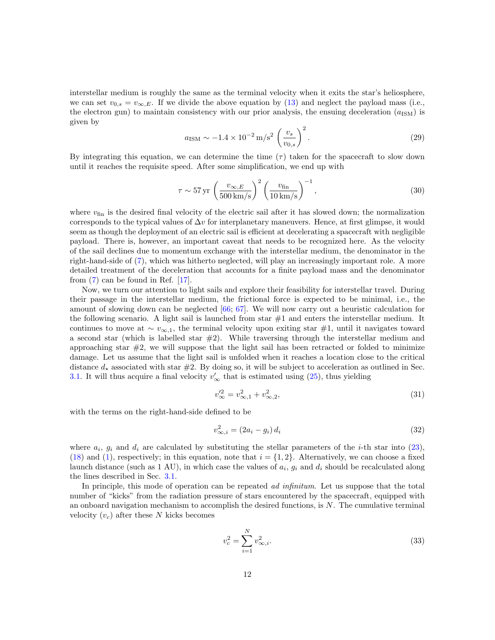interstellar medium is roughly the same as the terminal velocity when it exits the star's heliosphere, we can set  $v_{0,s} = v_{\infty,E}$ . If we divide the above equation by [\(13\)](#page-5-1) and neglect the payload mass (i.e., the electron gun) to maintain consistency with our prior analysis, the ensuing deceleration  $(a_{\text{ISM}})$  is given by

$$
a_{\rm ISM} \sim -1.4 \times 10^{-2} \,\text{m/s}^2 \left(\frac{v_s}{v_{0,s}}\right)^2. \tag{29}
$$

By integrating this equation, we can determine the time  $(\tau)$  taken for the spacecraft to slow down until it reaches the requisite speed. After some simplification, we end up with

$$
\tau \sim 57 \,\text{yr} \,\left(\frac{v_{\infty,E}}{500 \,\text{km/s}}\right)^2 \left(\frac{v_{\text{fin}}}{10 \,\text{km/s}}\right)^{-1},\tag{30}
$$

where  $v_{fin}$  is the desired final velocity of the electric sail after it has slowed down; the normalization corresponds to the typical values of  $\Delta v$  for interplanetary maneuvers. Hence, at first glimpse, it would seem as though the deployment of an electric sail is efficient at decelerating a spacecraft with negligible payload. There is, however, an important caveat that needs to be recognized here. As the velocity of the sail declines due to momentum exchange with the interstellar medium, the denominator in the right-hand-side of [\(7\)](#page-4-1), which was hitherto neglected, will play an increasingly important role. A more detailed treatment of the deceleration that accounts for a finite payload mass and the denominator from [\(7\)](#page-4-1) can be found in Ref. [\[17\]](#page-15-6).

Now, we turn our attention to light sails and explore their feasibility for interstellar travel. During their passage in the interstellar medium, the frictional force is expected to be minimal, i.e., the amount of slowing down can be neglected [\[66;](#page-18-14) [67\]](#page-19-0). We will now carry out a heuristic calculation for the following scenario. A light sail is launched from star #1 and enters the interstellar medium. It continues to move at  $\sim v_{\infty,1}$ , the terminal velocity upon exiting star #1, until it navigates toward a second star (which is labelled star  $#2$ ). While traversing through the interstellar medium and approaching star  $\#2$ , we will suppose that the light sail has been retracted or folded to minimize damage. Let us assume that the light sail is unfolded when it reaches a location close to the critical distance  $d_{\star}$  associated with star  $\#2$ . By doing so, it will be subject to acceleration as outlined in Sec. [3.1.](#page-8-3) It will thus acquire a final velocity  $v'_{\infty}$  that is estimated using [\(25\)](#page-8-4), thus yielding

$$
v_{\infty}^{\prime 2} = v_{\infty,1}^2 + v_{\infty,2}^2,\tag{31}
$$

with the terms on the right-hand-side defined to be

$$
v_{\infty,i}^2 = (2a_i - g_i) d_i \tag{32}
$$

where  $a_i$ ,  $g_i$  and  $d_i$  are calculated by substituting the stellar parameters of the *i*-th star into [\(23\)](#page-8-5), [\(18\)](#page-6-3) and [\(1\)](#page-1-2), respectively; in this equation, note that  $i = \{1, 2\}$ . Alternatively, we can choose a fixed launch distance (such as 1 AU), in which case the values of  $a_i$ ,  $g_i$  and  $d_i$  should be recalculated along the lines described in Sec. [3.1.](#page-8-3)

In principle, this mode of operation can be repeated *ad infinitum*. Let us suppose that the total number of "kicks" from the radiation pressure of stars encountered by the spacecraft, equipped with an onboard navigation mechanism to accomplish the desired functions, is  $N$ . The cumulative terminal velocity  $(v_c)$  after these N kicks becomes

<span id="page-11-0"></span>
$$
v_c^2 = \sum_{i=1}^{N} v_{\infty, i}^2.
$$
 (33)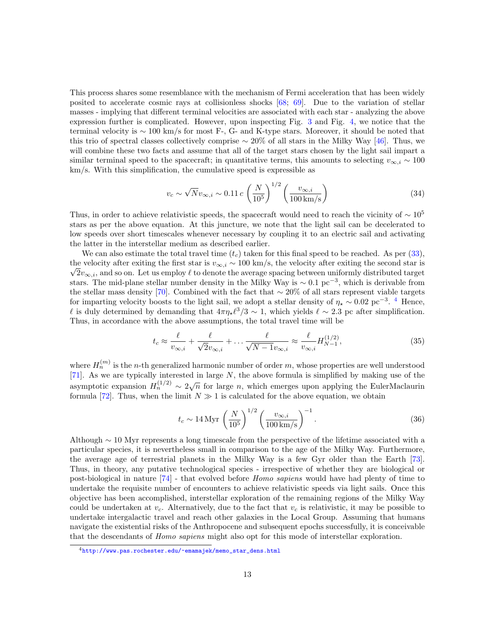This process shares some resemblance with the mechanism of Fermi acceleration that has been widely posited to accelerate cosmic rays at collisionless shocks [\[68;](#page-19-1) [69\]](#page-19-2). Due to the variation of stellar masses - implying that different terminal velocities are associated with each star - analyzing the above expression further is complicated. However, upon inspecting Fig. [3](#page-9-0) and Fig. [4,](#page-10-0) we notice that the terminal velocity is ∼ 100 km/s for most F-, G- and K-type stars. Moreover, it should be noted that this trio of spectral classes collectively comprise  $\sim 20\%$  of all stars in the Milky Way [\[46\]](#page-17-8). Thus, we will combine these two facts and assume that all of the target stars chosen by the light sail impart a similar terminal speed to the spacecraft; in quantitative terms, this amounts to selecting  $v_{\infty,i} \sim 100$ km/s. With this simplification, the cumulative speed is expressible as

$$
v_c \sim \sqrt{N} v_{\infty, i} \sim 0.11 c \left(\frac{N}{10^5}\right)^{1/2} \left(\frac{v_{\infty, i}}{100 \text{ km/s}}\right)
$$
 (34)

Thus, in order to achieve relativistic speeds, the spacecraft would need to reach the vicinity of  $\sim 10^5$ stars as per the above equation. At this juncture, we note that the light sail can be decelerated to low speeds over short timescales whenever necessary by coupling it to an electric sail and activating the latter in the interstellar medium as described earlier.

We can also estimate the total travel time  $(t_c)$  taken for this final speed to be reached. As per [\(33\)](#page-11-0), the velocity after exiting the first star is  $v_{\infty,i} \sim 100 \text{ km/s}$ , the velocity after exiting the second star is  $\sqrt{2}v_{\infty,i}$ , and so on. Let us employ  $\ell$  to denote the average spacing between uniformly distributed target stars. The mid-plane stellar number density in the Milky Way is  $\sim 0.1 \text{ pc}^{-3}$ , which is derivable from the stellar mass density [\[70\]](#page-19-3). Combined with the fact that ∼ 20% of all stars represent viable targets for imparting velocity boosts to the light sail, we adopt a stellar density of  $\eta_{\star} \sim 0.02 \text{ pc}^{-3}$ . <sup>[4](#page-12-0)</sup> Hence,  $\ell$  is duly determined by demanding that  $4\pi\eta_\star\ell^3/3 \sim 1$ , which yields  $\ell \sim 2.3$  pc after simplification. Thus, in accordance with the above assumptions, the total travel time will be

$$
t_c \approx \frac{\ell}{v_{\infty,i}} + \frac{\ell}{\sqrt{2}v_{\infty,i}} + \dots \frac{\ell}{\sqrt{N-1}v_{\infty,i}} \approx \frac{\ell}{v_{\infty,i}} H_{N-1}^{(1/2)},\tag{35}
$$

where  $H_n^{(m)}$  is the *n*-th generalized harmonic number of order m, whose properties are well understood [\[71\]](#page-19-4). As we are typically interested in large  $N$ , the above formula is simplified by making use of the asymptotic expansion  $H_n^{(1/2)} \sim 2\sqrt{n}$  for large n, which emerges upon applying the EulerMaclaurin formula [\[72\]](#page-19-5). Thus, when the limit  $N \gg 1$  is calculated for the above equation, we obtain

$$
t_c \sim 14 \,\text{Myr} \left(\frac{N}{10^5}\right)^{1/2} \left(\frac{v_{\infty,i}}{100 \,\text{km/s}}\right)^{-1}.
$$
 (36)

Although ∼ 10 Myr represents a long timescale from the perspective of the lifetime associated with a particular species, it is nevertheless small in comparison to the age of the Milky Way. Furthermore, the average age of terrestrial planets in the Milky Way is a few Gyr older than the Earth [\[73\]](#page-19-6). Thus, in theory, any putative technological species - irrespective of whether they are biological or post-biological in nature [\[74\]](#page-19-7) - that evolved before Homo sapiens would have had plenty of time to undertake the requisite number of encounters to achieve relativistic speeds via light sails. Once this objective has been accomplished, interstellar exploration of the remaining regions of the Milky Way could be undertaken at  $v_c$ . Alternatively, due to the fact that  $v_c$  is relativistic, it may be possible to undertake intergalactic travel and reach other galaxies in the Local Group. Assuming that humans navigate the existential risks of the Anthropocene and subsequent epochs successfully, it is conceivable that the descendants of Homo sapiens might also opt for this mode of interstellar exploration.

<span id="page-12-0"></span><sup>4</sup>[http://www.pas.rochester.edu/~emamajek/memo\\_star\\_dens.html](http://www.pas.rochester.edu/~emamajek/memo_star_dens.html)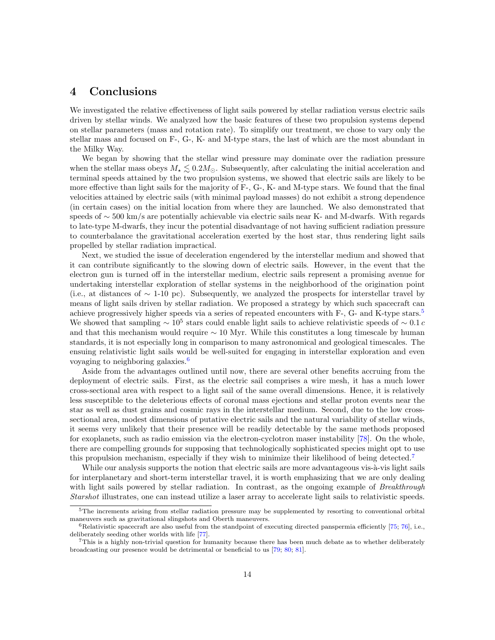### <span id="page-13-0"></span>4 Conclusions

We investigated the relative effectiveness of light sails powered by stellar radiation versus electric sails driven by stellar winds. We analyzed how the basic features of these two propulsion systems depend on stellar parameters (mass and rotation rate). To simplify our treatment, we chose to vary only the stellar mass and focused on F-, G-, K- and M-type stars, the last of which are the most abundant in the Milky Way.

We began by showing that the stellar wind pressure may dominate over the radiation pressure when the stellar mass obeys  $M_{\star} \leq 0.2 M_{\odot}$ . Subsequently, after calculating the initial acceleration and terminal speeds attained by the two propulsion systems, we showed that electric sails are likely to be more effective than light sails for the majority of F-, G-, K- and M-type stars. We found that the final velocities attained by electric sails (with minimal payload masses) do not exhibit a strong dependence (in certain cases) on the initial location from where they are launched. We also demonstrated that speeds of ∼ 500 km/s are potentially achievable via electric sails near K- and M-dwarfs. With regards to late-type M-dwarfs, they incur the potential disadvantage of not having sufficient radiation pressure to counterbalance the gravitational acceleration exerted by the host star, thus rendering light sails propelled by stellar radiation impractical.

Next, we studied the issue of deceleration engendered by the interstellar medium and showed that it can contribute significantly to the slowing down of electric sails. However, in the event that the electron gun is turned off in the interstellar medium, electric sails represent a promising avenue for undertaking interstellar exploration of stellar systems in the neighborhood of the origination point (i.e., at distances of ∼ 1-10 pc). Subsequently, we analyzed the prospects for interstellar travel by means of light sails driven by stellar radiation. We proposed a strategy by which such spacecraft can achieve progressively higher speeds via a series of repeated encounters with F-, G- and K-type stars.[5](#page-13-1) We showed that sampling  $\sim 10^5$  stars could enable light sails to achieve relativistic speeds of  $\sim 0.1 c$ and that this mechanism would require  $\sim 10$  Myr. While this constitutes a long timescale by human standards, it is not especially long in comparison to many astronomical and geological timescales. The ensuing relativistic light sails would be well-suited for engaging in interstellar exploration and even voyaging to neighboring galaxies.<sup>[6](#page-13-2)</sup>

Aside from the advantages outlined until now, there are several other benefits accruing from the deployment of electric sails. First, as the electric sail comprises a wire mesh, it has a much lower cross-sectional area with respect to a light sail of the same overall dimensions. Hence, it is relatively less susceptible to the deleterious effects of coronal mass ejections and stellar proton events near the star as well as dust grains and cosmic rays in the interstellar medium. Second, due to the low crosssectional area, modest dimensions of putative electric sails and the natural variability of stellar winds, it seems very unlikely that their presence will be readily detectable by the same methods proposed for exoplanets, such as radio emission via the electron-cyclotron maser instability [\[78\]](#page-19-8). On the whole, there are compelling grounds for supposing that technologically sophisticated species might opt to use this propulsion mechanism, especially if they wish to minimize their likelihood of being detected.<sup>[7](#page-13-3)</sup>

While our analysis supports the notion that electric sails are more advantageous vis- $\grave{a}$ -vis light sails for interplanetary and short-term interstellar travel, it is worth emphasizing that we are only dealing with light sails powered by stellar radiation. In contrast, as the ongoing example of Breakthrough Starshot illustrates, one can instead utilize a laser array to accelerate light sails to relativistic speeds.

<span id="page-13-1"></span> $5$ The increments arising from stellar radiation pressure may be supplemented by resorting to conventional orbital maneuvers such as gravitational slingshots and Oberth maneuvers.

<span id="page-13-2"></span> $6R$ elativistic spacecraft are also useful from the standpoint of executing directed panspermia efficiently [\[75;](#page-19-9) [76\]](#page-19-10), i.e., deliberately seeding other worlds with life [\[77\]](#page-19-11).

<span id="page-13-3"></span> $7$ This is a highly non-trivial question for humanity because there has been much debate as to whether deliberately broadcasting our presence would be detrimental or beneficial to us [\[79;](#page-19-12) [80;](#page-19-13) [81\]](#page-19-14).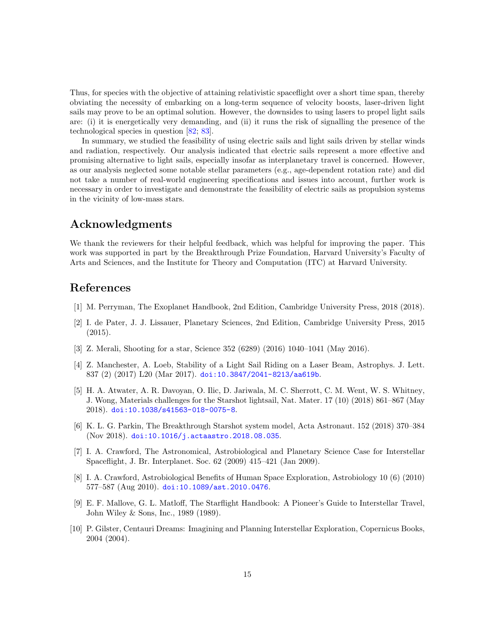Thus, for species with the objective of attaining relativistic spaceflight over a short time span, thereby obviating the necessity of embarking on a long-term sequence of velocity boosts, laser-driven light sails may prove to be an optimal solution. However, the downsides to using lasers to propel light sails are: (i) it is energetically very demanding, and (ii) it runs the risk of signalling the presence of the technological species in question [\[82;](#page-19-15) [83\]](#page-19-16).

In summary, we studied the feasibility of using electric sails and light sails driven by stellar winds and radiation, respectively. Our analysis indicated that electric sails represent a more effective and promising alternative to light sails, especially insofar as interplanetary travel is concerned. However, as our analysis neglected some notable stellar parameters (e.g., age-dependent rotation rate) and did not take a number of real-world engineering specifications and issues into account, further work is necessary in order to investigate and demonstrate the feasibility of electric sails as propulsion systems in the vicinity of low-mass stars.

# Acknowledgments

We thank the reviewers for their helpful feedback, which was helpful for improving the paper. This work was supported in part by the Breakthrough Prize Foundation, Harvard University's Faculty of Arts and Sciences, and the Institute for Theory and Computation (ITC) at Harvard University.

# References

- <span id="page-14-0"></span>[1] M. Perryman, The Exoplanet Handbook, 2nd Edition, Cambridge University Press, 2018 (2018).
- <span id="page-14-1"></span>[2] I. de Pater, J. J. Lissauer, Planetary Sciences, 2nd Edition, Cambridge University Press, 2015 (2015).
- <span id="page-14-2"></span>[3] Z. Merali, Shooting for a star, Science 352 (6289) (2016) 1040–1041 (May 2016).
- <span id="page-14-3"></span>[4] Z. Manchester, A. Loeb, Stability of a Light Sail Riding on a Laser Beam, Astrophys. J. Lett. 837 (2) (2017) L20 (Mar 2017). [doi:10.3847/2041-8213/aa619b](https://doi.org/10.3847/2041-8213/aa619b).
- <span id="page-14-4"></span>[5] H. A. Atwater, A. R. Davoyan, O. Ilic, D. Jariwala, M. C. Sherrott, C. M. Went, W. S. Whitney, J. Wong, Materials challenges for the Starshot lightsail, Nat. Mater. 17 (10) (2018) 861–867 (May 2018). [doi:10.1038/s41563-018-0075-8](https://doi.org/10.1038/s41563-018-0075-8).
- <span id="page-14-5"></span>[6] K. L. G. Parkin, The Breakthrough Starshot system model, Acta Astronaut. 152 (2018) 370–384 (Nov 2018). [doi:10.1016/j.actaastro.2018.08.035](https://doi.org/10.1016/j.actaastro.2018.08.035).
- <span id="page-14-6"></span>[7] I. A. Crawford, The Astronomical, Astrobiological and Planetary Science Case for Interstellar Spaceflight, J. Br. Interplanet. Soc. 62 (2009) 415–421 (Jan 2009).
- <span id="page-14-7"></span>[8] I. A. Crawford, Astrobiological Benefits of Human Space Exploration, Astrobiology 10 (6) (2010) 577–587 (Aug 2010). [doi:10.1089/ast.2010.0476](https://doi.org/10.1089/ast.2010.0476).
- <span id="page-14-8"></span>[9] E. F. Mallove, G. L. Matloff, The Starflight Handbook: A Pioneer's Guide to Interstellar Travel, John Wiley & Sons, Inc., 1989 (1989).
- <span id="page-14-9"></span>[10] P. Gilster, Centauri Dreams: Imagining and Planning Interstellar Exploration, Copernicus Books, 2004 (2004).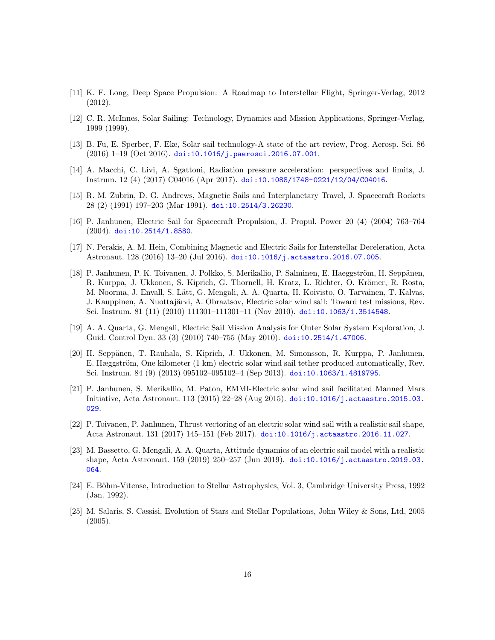- <span id="page-15-0"></span>[11] K. F. Long, Deep Space Propulsion: A Roadmap to Interstellar Flight, Springer-Verlag, 2012 (2012).
- <span id="page-15-1"></span>[12] C. R. McInnes, Solar Sailing: Technology, Dynamics and Mission Applications, Springer-Verlag, 1999 (1999).
- <span id="page-15-2"></span>[13] B. Fu, E. Sperber, F. Eke, Solar sail technology-A state of the art review, Prog. Aerosp. Sci. 86 (2016) 1–19 (Oct 2016). [doi:10.1016/j.paerosci.2016.07.001](https://doi.org/10.1016/j.paerosci.2016.07.001).
- <span id="page-15-3"></span>[14] A. Macchi, C. Livi, A. Sgattoni, Radiation pressure acceleration: perspectives and limits, J. Instrum. 12 (4) (2017) C04016 (Apr 2017). [doi:10.1088/1748-0221/12/04/C04016](https://doi.org/10.1088/1748-0221/12/04/C04016).
- <span id="page-15-4"></span>[15] R. M. Zubrin, D. G. Andrews, Magnetic Sails and Interplanetary Travel, J. Spacecraft Rockets 28 (2) (1991) 197–203 (Mar 1991). [doi:10.2514/3.26230](https://doi.org/10.2514/3.26230).
- <span id="page-15-5"></span>[16] P. Janhunen, Electric Sail for Spacecraft Propulsion, J. Propul. Power 20 (4) (2004) 763–764 (2004). [doi:10.2514/1.8580](https://doi.org/10.2514/1.8580).
- <span id="page-15-6"></span>[17] N. Perakis, A. M. Hein, Combining Magnetic and Electric Sails for Interstellar Deceleration, Acta Astronaut. 128 (2016) 13–20 (Jul 2016). [doi:10.1016/j.actaastro.2016.07.005](https://doi.org/10.1016/j.actaastro.2016.07.005).
- <span id="page-15-7"></span>[18] P. Janhunen, P. K. Toivanen, J. Polkko, S. Merikallio, P. Salminen, E. Haeggström, H. Seppänen, R. Kurppa, J. Ukkonen, S. Kiprich, G. Thornell, H. Kratz, L. Richter, O. Krömer, R. Rosta, M. Noorma, J. Envall, S. Lätt, G. Mengali, A. A. Quarta, H. Koivisto, O. Tarvainen, T. Kalvas, J. Kauppinen, A. Nuottajärvi, A. Obraztsov, Electric solar wind sail: Toward test missions, Rev. Sci. Instrum. 81 (11) (2010) 111301–111301–11 (Nov 2010). [doi:10.1063/1.3514548](https://doi.org/10.1063/1.3514548).
- <span id="page-15-8"></span>[19] A. A. Quarta, G. Mengali, Electric Sail Mission Analysis for Outer Solar System Exploration, J. Guid. Control Dyn. 33 (3) (2010) 740–755 (May 2010). [doi:10.2514/1.47006](https://doi.org/10.2514/1.47006).
- <span id="page-15-9"></span>[20] H. Seppänen, T. Rauhala, S. Kiprich, J. Ukkonen, M. Simonsson, R. Kurppa, P. Janhunen, E. Hæggström, One kilometer (1 km) electric solar wind sail tether produced automatically, Rev. Sci. Instrum. 84 (9) (2013) 095102–095102–4 (Sep 2013). [doi:10.1063/1.4819795](https://doi.org/10.1063/1.4819795).
- <span id="page-15-10"></span>[21] P. Janhunen, S. Merikallio, M. Paton, EMMI-Electric solar wind sail facilitated Manned Mars Initiative, Acta Astronaut. 113 (2015) 22–28 (Aug 2015). [doi:10.1016/j.actaastro.2015.03.](https://doi.org/10.1016/j.actaastro.2015.03.029) [029](https://doi.org/10.1016/j.actaastro.2015.03.029).
- <span id="page-15-11"></span>[22] P. Toivanen, P. Janhunen, Thrust vectoring of an electric solar wind sail with a realistic sail shape, Acta Astronaut. 131 (2017) 145–151 (Feb 2017). [doi:10.1016/j.actaastro.2016.11.027](https://doi.org/10.1016/j.actaastro.2016.11.027).
- <span id="page-15-12"></span>[23] M. Bassetto, G. Mengali, A. A. Quarta, Attitude dynamics of an electric sail model with a realistic shape, Acta Astronaut. 159 (2019) 250–257 (Jun 2019). [doi:10.1016/j.actaastro.2019.03.](https://doi.org/10.1016/j.actaastro.2019.03.064) [064](https://doi.org/10.1016/j.actaastro.2019.03.064).
- <span id="page-15-13"></span>[24] E. Böhm-Vitense, Introduction to Stellar Astrophysics, Vol. 3, Cambridge University Press, 1992 (Jan. 1992).
- <span id="page-15-14"></span>[25] M. Salaris, S. Cassisi, Evolution of Stars and Stellar Populations, John Wiley & Sons, Ltd, 2005 (2005).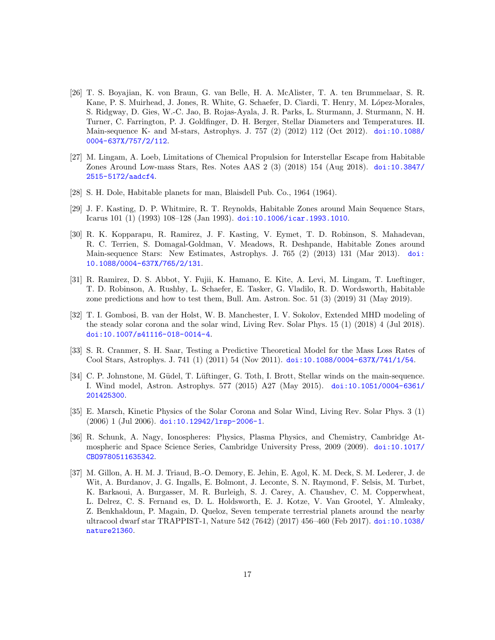- <span id="page-16-0"></span>[26] T. S. Boyajian, K. von Braun, G. van Belle, H. A. McAlister, T. A. ten Brummelaar, S. R. Kane, P. S. Muirhead, J. Jones, R. White, G. Schaefer, D. Ciardi, T. Henry, M. López-Morales, S. Ridgway, D. Gies, W.-C. Jao, B. Rojas-Ayala, J. R. Parks, L. Sturmann, J. Sturmann, N. H. Turner, C. Farrington, P. J. Goldfinger, D. H. Berger, Stellar Diameters and Temperatures. II. Main-sequence K- and M-stars, Astrophys. J. 757 (2) (2012) 112 (Oct 2012). [doi:10.1088/](https://doi.org/10.1088/0004-637X/757/2/112) [0004-637X/757/2/112](https://doi.org/10.1088/0004-637X/757/2/112).
- <span id="page-16-1"></span>[27] M. Lingam, A. Loeb, Limitations of Chemical Propulsion for Interstellar Escape from Habitable Zones Around Low-mass Stars, Res. Notes AAS 2 (3) (2018) 154 (Aug 2018). [doi:10.3847/](https://doi.org/10.3847/2515-5172/aadcf4) [2515-5172/aadcf4](https://doi.org/10.3847/2515-5172/aadcf4).
- <span id="page-16-2"></span>[28] S. H. Dole, Habitable planets for man, Blaisdell Pub. Co., 1964 (1964).
- <span id="page-16-3"></span>[29] J. F. Kasting, D. P. Whitmire, R. T. Reynolds, Habitable Zones around Main Sequence Stars, Icarus 101 (1) (1993) 108–128 (Jan 1993). [doi:10.1006/icar.1993.1010](https://doi.org/10.1006/icar.1993.1010).
- <span id="page-16-4"></span>[30] R. K. Kopparapu, R. Ramirez, J. F. Kasting, V. Eymet, T. D. Robinson, S. Mahadevan, R. C. Terrien, S. Domagal-Goldman, V. Meadows, R. Deshpande, Habitable Zones around Main-sequence Stars: New Estimates, Astrophys. J. 765 (2) (2013) 131 (Mar 2013). [doi:](https://doi.org/10.1088/0004-637X/765/2/131) [10.1088/0004-637X/765/2/131](https://doi.org/10.1088/0004-637X/765/2/131).
- <span id="page-16-5"></span>[31] R. Ramirez, D. S. Abbot, Y. Fujii, K. Hamano, E. Kite, A. Levi, M. Lingam, T. Lueftinger, T. D. Robinson, A. Rushby, L. Schaefer, E. Tasker, G. Vladilo, R. D. Wordsworth, Habitable zone predictions and how to test them, Bull. Am. Astron. Soc. 51 (3) (2019) 31 (May 2019).
- <span id="page-16-6"></span>[32] T. I. Gombosi, B. van der Holst, W. B. Manchester, I. V. Sokolov, Extended MHD modeling of the steady solar corona and the solar wind, Living Rev. Solar Phys. 15 (1) (2018) 4 (Jul 2018). [doi:10.1007/s41116-018-0014-4](https://doi.org/10.1007/s41116-018-0014-4).
- <span id="page-16-7"></span>[33] S. R. Cranmer, S. H. Saar, Testing a Predictive Theoretical Model for the Mass Loss Rates of Cool Stars, Astrophys. J. 741 (1) (2011) 54 (Nov 2011). [doi:10.1088/0004-637X/741/1/54](https://doi.org/10.1088/0004-637X/741/1/54).
- <span id="page-16-8"></span>[34] C. P. Johnstone, M. Güdel, T. Lüftinger, G. Toth, I. Brott, Stellar winds on the main-sequence. I. Wind model, Astron. Astrophys. 577 (2015) A27 (May 2015). [doi:10.1051/0004-6361/](https://doi.org/10.1051/0004-6361/201425300) [201425300](https://doi.org/10.1051/0004-6361/201425300).
- <span id="page-16-9"></span>[35] E. Marsch, Kinetic Physics of the Solar Corona and Solar Wind, Living Rev. Solar Phys. 3 (1) (2006) 1 (Jul 2006). [doi:10.12942/lrsp-2006-1](https://doi.org/10.12942/lrsp-2006-1).
- <span id="page-16-10"></span>[36] R. Schunk, A. Nagy, Ionospheres: Physics, Plasma Physics, and Chemistry, Cambridge Atmospheric and Space Science Series, Cambridge University Press, 2009 (2009). [doi:10.1017/](https://doi.org/10.1017/CBO9780511635342) [CBO9780511635342](https://doi.org/10.1017/CBO9780511635342).
- <span id="page-16-11"></span>[37] M. Gillon, A. H. M. J. Triaud, B.-O. Demory, E. Jehin, E. Agol, K. M. Deck, S. M. Lederer, J. de Wit, A. Burdanov, J. G. Ingalls, E. Bolmont, J. Leconte, S. N. Raymond, F. Selsis, M. Turbet, K. Barkaoui, A. Burgasser, M. R. Burleigh, S. J. Carey, A. Chaushev, C. M. Copperwheat, L. Delrez, C. S. Fernand es, D. L. Holdsworth, E. J. Kotze, V. Van Grootel, Y. Almleaky, Z. Benkhaldoun, P. Magain, D. Queloz, Seven temperate terrestrial planets around the nearby ultracool dwarf star TRAPPIST-1, Nature 542 (7642) (2017) 456–460 (Feb 2017). [doi:10.1038/](https://doi.org/10.1038/nature21360) [nature21360](https://doi.org/10.1038/nature21360).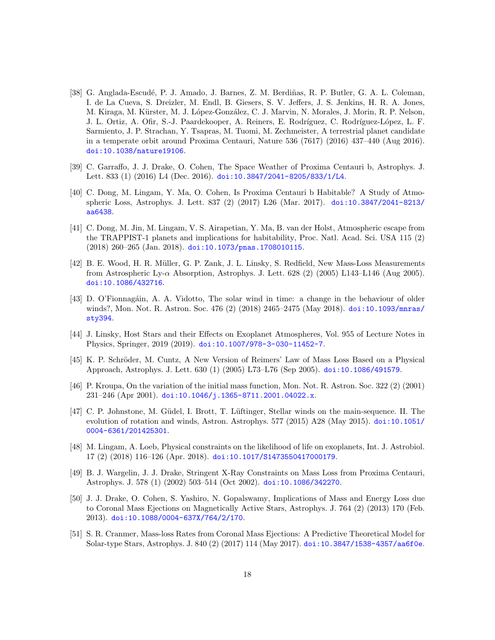- <span id="page-17-0"></span>[38] G. Anglada-Escudé, P. J. Amado, J. Barnes, Z. M. Berdiñas, R. P. Butler, G. A. L. Coleman, I. de La Cueva, S. Dreizler, M. Endl, B. Giesers, S. V. Jeffers, J. S. Jenkins, H. R. A. Jones, M. Kiraga, M. Kürster, M. J. López-González, C. J. Marvin, N. Morales, J. Morin, R. P. Nelson, J. L. Ortiz, A. Ofir, S.-J. Paardekooper, A. Reiners, E. Rodríguez, C. Rodríguez-López, L. F. Sarmiento, J. P. Strachan, Y. Tsapras, M. Tuomi, M. Zechmeister, A terrestrial planet candidate in a temperate orbit around Proxima Centauri, Nature 536 (7617) (2016) 437–440 (Aug 2016). [doi:10.1038/nature19106](https://doi.org/10.1038/nature19106).
- <span id="page-17-1"></span>[39] C. Garraffo, J. J. Drake, O. Cohen, The Space Weather of Proxima Centauri b, Astrophys. J. Lett. 833 (1) (2016) L4 (Dec. 2016). [doi:10.3847/2041-8205/833/1/L4](https://doi.org/10.3847/2041-8205/833/1/L4).
- <span id="page-17-2"></span>[40] C. Dong, M. Lingam, Y. Ma, O. Cohen, Is Proxima Centauri b Habitable? A Study of Atmospheric Loss, Astrophys. J. Lett. 837 (2) (2017) L26 (Mar. 2017). [doi:10.3847/2041-8213/](https://doi.org/10.3847/2041-8213/aa6438) [aa6438](https://doi.org/10.3847/2041-8213/aa6438).
- <span id="page-17-3"></span>[41] C. Dong, M. Jin, M. Lingam, V. S. Airapetian, Y. Ma, B. van der Holst, Atmospheric escape from the TRAPPIST-1 planets and implications for habitability, Proc. Natl. Acad. Sci. USA 115 (2) (2018) 260–265 (Jan. 2018). [doi:10.1073/pnas.1708010115](https://doi.org/10.1073/pnas.1708010115).
- <span id="page-17-4"></span>[42] B. E. Wood, H. R. M¨uller, G. P. Zank, J. L. Linsky, S. Redfield, New Mass-Loss Measurements from Astrospheric Ly- $\alpha$  Absorption, Astrophys. J. Lett. 628 (2) (2005) L143–L146 (Aug 2005). [doi:10.1086/432716](https://doi.org/10.1086/432716).
- <span id="page-17-5"></span>[43] D. O'Fionnagáin, A. A. Vidotto, The solar wind in time: a change in the behaviour of older winds?, Mon. Not. R. Astron. Soc. 476 (2) (2018) 2465–2475 (May 2018). [doi:10.1093/mnras/](https://doi.org/10.1093/mnras/sty394) [sty394](https://doi.org/10.1093/mnras/sty394).
- <span id="page-17-6"></span>[44] J. Linsky, Host Stars and their Effects on Exoplanet Atmospheres, Vol. 955 of Lecture Notes in Physics, Springer, 2019 (2019). [doi:10.1007/978-3-030-11452-7](https://doi.org/10.1007/978-3-030-11452-7).
- <span id="page-17-7"></span>[45] K. P. Schröder, M. Cuntz, A New Version of Reimers' Law of Mass Loss Based on a Physical Approach, Astrophys. J. Lett. 630 (1) (2005) L73–L76 (Sep 2005). [doi:10.1086/491579](https://doi.org/10.1086/491579).
- <span id="page-17-8"></span>[46] P. Kroupa, On the variation of the initial mass function, Mon. Not. R. Astron. Soc. 322 (2) (2001) 231–246 (Apr 2001). [doi:10.1046/j.1365-8711.2001.04022.x](https://doi.org/10.1046/j.1365-8711.2001.04022.x).
- <span id="page-17-9"></span>[47] C. P. Johnstone, M. Güdel, I. Brott, T. Lüftinger, Stellar winds on the main-sequence. II. The evolution of rotation and winds, Astron. Astrophys. 577 (2015) A28 (May 2015). [doi:10.1051/](https://doi.org/10.1051/0004-6361/201425301) [0004-6361/201425301](https://doi.org/10.1051/0004-6361/201425301).
- <span id="page-17-10"></span>[48] M. Lingam, A. Loeb, Physical constraints on the likelihood of life on exoplanets, Int. J. Astrobiol. 17 (2) (2018) 116–126 (Apr. 2018). [doi:10.1017/S1473550417000179](https://doi.org/10.1017/S1473550417000179).
- <span id="page-17-11"></span>[49] B. J. Wargelin, J. J. Drake, Stringent X-Ray Constraints on Mass Loss from Proxima Centauri, Astrophys. J. 578 (1) (2002) 503–514 (Oct 2002). [doi:10.1086/342270](https://doi.org/10.1086/342270).
- <span id="page-17-12"></span>[50] J. J. Drake, O. Cohen, S. Yashiro, N. Gopalswamy, Implications of Mass and Energy Loss due to Coronal Mass Ejections on Magnetically Active Stars, Astrophys. J. 764 (2) (2013) 170 (Feb. 2013). [doi:10.1088/0004-637X/764/2/170](https://doi.org/10.1088/0004-637X/764/2/170).
- <span id="page-17-13"></span>[51] S. R. Cranmer, Mass-loss Rates from Coronal Mass Ejections: A Predictive Theoretical Model for Solar-type Stars, Astrophys. J. 840 (2) (2017) 114 (May 2017). [doi:10.3847/1538-4357/aa6f0e](https://doi.org/10.3847/1538-4357/aa6f0e).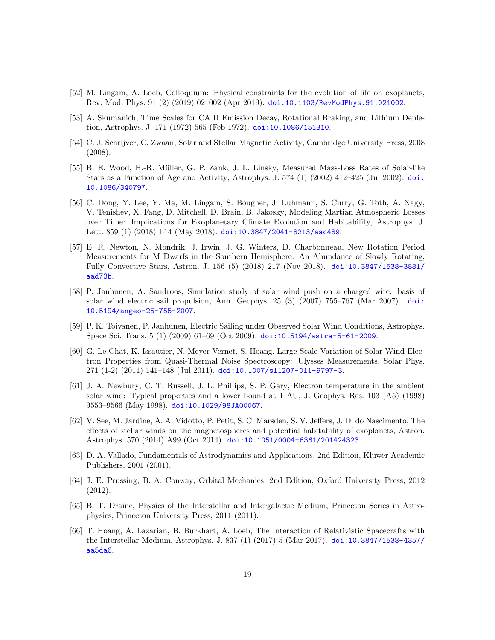- <span id="page-18-0"></span>[52] M. Lingam, A. Loeb, Colloquium: Physical constraints for the evolution of life on exoplanets, Rev. Mod. Phys. 91 (2) (2019) 021002 (Apr 2019). [doi:10.1103/RevModPhys.91.021002](https://doi.org/10.1103/RevModPhys.91.021002).
- <span id="page-18-1"></span>[53] A. Skumanich, Time Scales for CA II Emission Decay, Rotational Braking, and Lithium Depletion, Astrophys. J. 171 (1972) 565 (Feb 1972). [doi:10.1086/151310](https://doi.org/10.1086/151310).
- <span id="page-18-2"></span>[54] C. J. Schrijver, C. Zwaan, Solar and Stellar Magnetic Activity, Cambridge University Press, 2008 (2008).
- <span id="page-18-3"></span>[55] B. E. Wood, H.-R. M¨uller, G. P. Zank, J. L. Linsky, Measured Mass-Loss Rates of Solar-like Stars as a Function of Age and Activity, Astrophys. J. 574 (1) (2002) 412–425 (Jul 2002). [doi:](https://doi.org/10.1086/340797) [10.1086/340797](https://doi.org/10.1086/340797).
- <span id="page-18-4"></span>[56] C. Dong, Y. Lee, Y. Ma, M. Lingam, S. Bougher, J. Luhmann, S. Curry, G. Toth, A. Nagy, V. Tenishev, X. Fang, D. Mitchell, D. Brain, B. Jakosky, Modeling Martian Atmospheric Losses over Time: Implications for Exoplanetary Climate Evolution and Habitability, Astrophys. J. Lett. 859 (1) (2018) L14 (May 2018). [doi:10.3847/2041-8213/aac489](https://doi.org/10.3847/2041-8213/aac489).
- <span id="page-18-5"></span>[57] E. R. Newton, N. Mondrik, J. Irwin, J. G. Winters, D. Charbonneau, New Rotation Period Measurements for M Dwarfs in the Southern Hemisphere: An Abundance of Slowly Rotating, Fully Convective Stars, Astron. J. 156 (5) (2018) 217 (Nov 2018). [doi:10.3847/1538-3881/](https://doi.org/10.3847/1538-3881/aad73b) [aad73b](https://doi.org/10.3847/1538-3881/aad73b).
- <span id="page-18-6"></span>[58] P. Janhunen, A. Sandroos, Simulation study of solar wind push on a charged wire: basis of solar wind electric sail propulsion, Ann. Geophys. 25 (3) (2007) 755–767 (Mar 2007). [doi:](https://doi.org/10.5194/angeo-25-755-2007) [10.5194/angeo-25-755-2007](https://doi.org/10.5194/angeo-25-755-2007).
- <span id="page-18-7"></span>[59] P. K. Toivanen, P. Janhunen, Electric Sailing under Observed Solar Wind Conditions, Astrophys. Space Sci. Trans. 5 (1) (2009) 61–69 (Oct 2009). [doi:10.5194/astra-5-61-2009](https://doi.org/10.5194/astra-5-61-2009).
- <span id="page-18-8"></span>[60] G. Le Chat, K. Issautier, N. Meyer-Vernet, S. Hoang, Large-Scale Variation of Solar Wind Electron Properties from Quasi-Thermal Noise Spectroscopy: Ulysses Measurements, Solar Phys. 271 (1-2) (2011) 141–148 (Jul 2011). [doi:10.1007/s11207-011-9797-3](https://doi.org/10.1007/s11207-011-9797-3).
- <span id="page-18-9"></span>[61] J. A. Newbury, C. T. Russell, J. L. Phillips, S. P. Gary, Electron temperature in the ambient solar wind: Typical properties and a lower bound at 1 AU, J. Geophys. Res. 103 (A5) (1998) 9553–9566 (May 1998). [doi:10.1029/98JA00067](https://doi.org/10.1029/98JA00067).
- <span id="page-18-10"></span>[62] V. See, M. Jardine, A. A. Vidotto, P. Petit, S. C. Marsden, S. V. Jeffers, J. D. do Nascimento, The effects of stellar winds on the magnetospheres and potential habitability of exoplanets, Astron. Astrophys. 570 (2014) A99 (Oct 2014). [doi:10.1051/0004-6361/201424323](https://doi.org/10.1051/0004-6361/201424323).
- <span id="page-18-11"></span>[63] D. A. Vallado, Fundamentals of Astrodynamics and Applications, 2nd Edition, Kluwer Academic Publishers, 2001 (2001).
- <span id="page-18-12"></span>[64] J. E. Prussing, B. A. Conway, Orbital Mechanics, 2nd Edition, Oxford University Press, 2012 (2012).
- <span id="page-18-13"></span>[65] B. T. Draine, Physics of the Interstellar and Intergalactic Medium, Princeton Series in Astrophysics, Princeton University Press, 2011 (2011).
- <span id="page-18-14"></span>[66] T. Hoang, A. Lazarian, B. Burkhart, A. Loeb, The Interaction of Relativistic Spacecrafts with the Interstellar Medium, Astrophys. J. 837 (1) (2017) 5 (Mar 2017). [doi:10.3847/1538-4357/](https://doi.org/10.3847/1538-4357/aa5da6) [aa5da6](https://doi.org/10.3847/1538-4357/aa5da6).